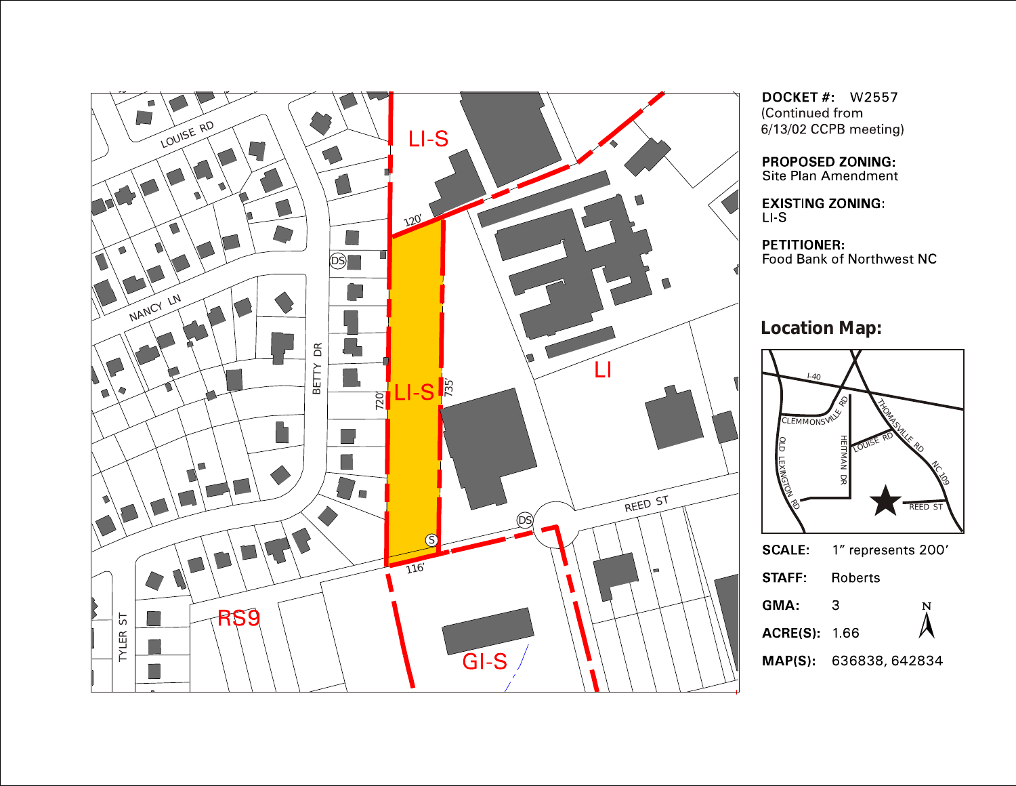

**DOCKET # W2557** (Continued from 6/13/02 CCPB meeting)

**PROPOSED ZONING:** Site Plan Amendment

**EXISTING ZONING:**  $LI-S$ 

**PETITIONER:** Food Bank of Northwest NC

**Location Map:**

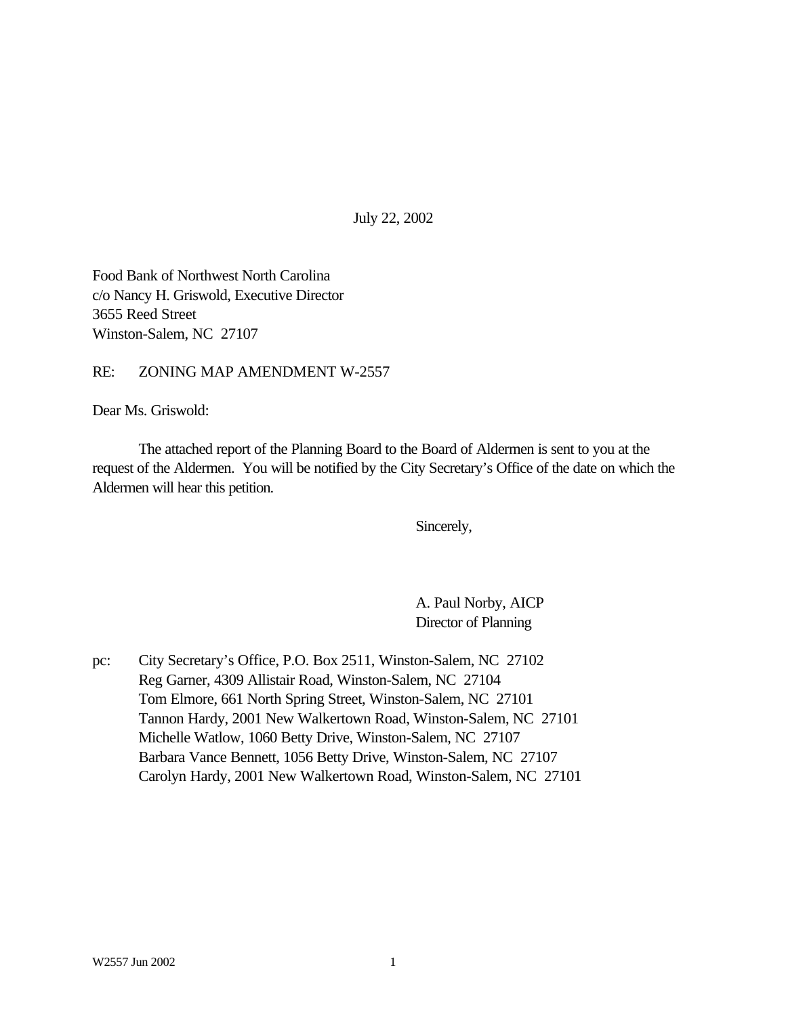July 22, 2002

Food Bank of Northwest North Carolina c/o Nancy H. Griswold, Executive Director 3655 Reed Street Winston-Salem, NC 27107

RE: ZONING MAP AMENDMENT W-2557

Dear Ms. Griswold:

The attached report of the Planning Board to the Board of Aldermen is sent to you at the request of the Aldermen. You will be notified by the City Secretary's Office of the date on which the Aldermen will hear this petition.

Sincerely,

A. Paul Norby, AICP Director of Planning

pc: City Secretary's Office, P.O. Box 2511, Winston-Salem, NC 27102 Reg Garner, 4309 Allistair Road, Winston-Salem, NC 27104 Tom Elmore, 661 North Spring Street, Winston-Salem, NC 27101 Tannon Hardy, 2001 New Walkertown Road, Winston-Salem, NC 27101 Michelle Watlow, 1060 Betty Drive, Winston-Salem, NC 27107 Barbara Vance Bennett, 1056 Betty Drive, Winston-Salem, NC 27107 Carolyn Hardy, 2001 New Walkertown Road, Winston-Salem, NC 27101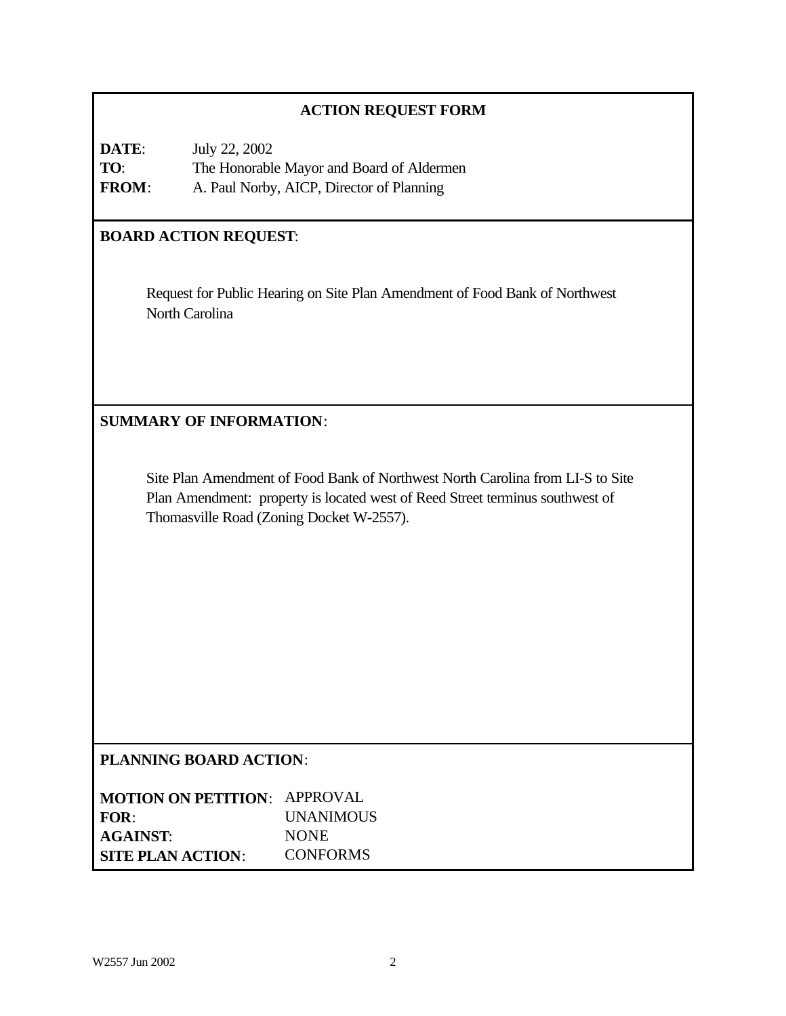### **ACTION REQUEST FORM**

| DATE:        | July 22, 2002                             |
|--------------|-------------------------------------------|
| TO:          | The Honorable Mayor and Board of Aldermen |
| <b>FROM:</b> | A. Paul Norby, AICP, Director of Planning |

# **BOARD ACTION REQUEST**:

Request for Public Hearing on Site Plan Amendment of Food Bank of Northwest North Carolina

**SUMMARY OF INFORMATION**:

Site Plan Amendment of Food Bank of Northwest North Carolina from LI-S to Site Plan Amendment: property is located west of Reed Street terminus southwest of Thomasville Road (Zoning Docket W-2557).

### **PLANNING BOARD ACTION**:

| <b>MOTION ON PETITION: APPROVAL</b> |                  |
|-------------------------------------|------------------|
| FOR:                                | <b>UNANIMOUS</b> |
| <b>AGAINST:</b>                     | <b>NONE</b>      |
| <b>SITE PLAN ACTION:</b>            | <b>CONFORMS</b>  |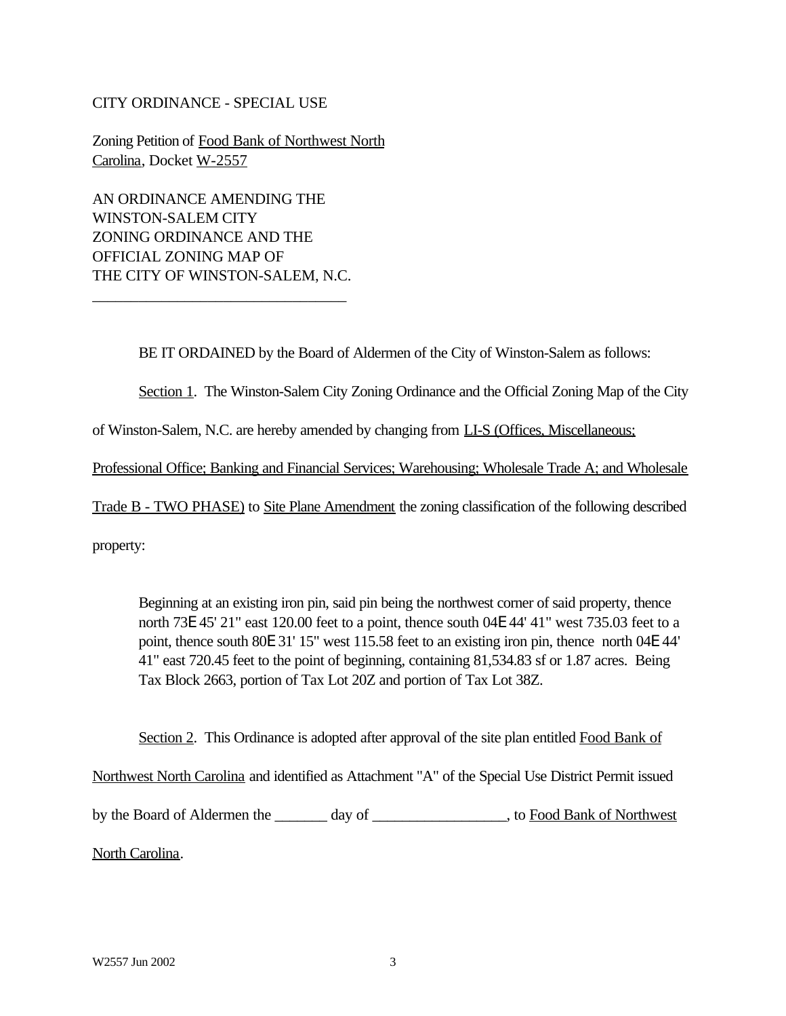#### CITY ORDINANCE - SPECIAL USE

Zoning Petition of Food Bank of Northwest North Carolina, Docket W-2557

AN ORDINANCE AMENDING THE WINSTON-SALEM CITY ZONING ORDINANCE AND THE OFFICIAL ZONING MAP OF THE CITY OF WINSTON-SALEM, N.C.

\_\_\_\_\_\_\_\_\_\_\_\_\_\_\_\_\_\_\_\_\_\_\_\_\_\_\_\_\_\_\_\_\_

BE IT ORDAINED by the Board of Aldermen of the City of Winston-Salem as follows:

Section 1. The Winston-Salem City Zoning Ordinance and the Official Zoning Map of the City

of Winston-Salem, N.C. are hereby amended by changing from LI-S (Offices, Miscellaneous;

Professional Office; Banking and Financial Services; Warehousing; Wholesale Trade A; and Wholesale

Trade B - TWO PHASE) to Site Plane Amendment the zoning classification of the following described

property:

Beginning at an existing iron pin, said pin being the northwest corner of said property, thence north 73E 45' 21" east 120.00 feet to a point, thence south 04E 44' 41" west 735.03 feet to a point, thence south 80E 31' 15" west 115.58 feet to an existing iron pin, thence north 04E 44' 41" east 720.45 feet to the point of beginning, containing 81,534.83 sf or 1.87 acres. Being Tax Block 2663, portion of Tax Lot 20Z and portion of Tax Lot 38Z.

Section 2. This Ordinance is adopted after approval of the site plan entitled Food Bank of Northwest North Carolina and identified as Attachment "A" of the Special Use District Permit issued by the Board of Aldermen the \_\_\_\_\_\_\_ day of \_\_\_\_\_\_\_\_\_\_\_\_\_\_\_, to Food Bank of Northwest North Carolina.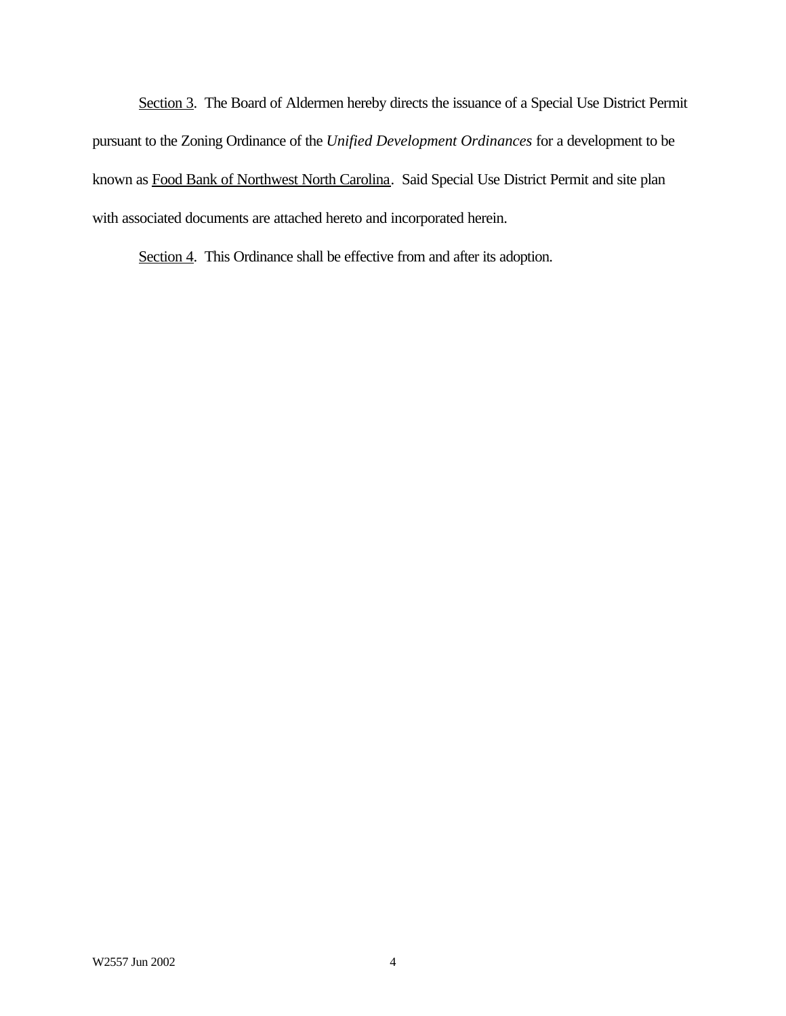Section 3. The Board of Aldermen hereby directs the issuance of a Special Use District Permit pursuant to the Zoning Ordinance of the *Unified Development Ordinances* for a development to be known as Food Bank of Northwest North Carolina. Said Special Use District Permit and site plan with associated documents are attached hereto and incorporated herein.

Section 4. This Ordinance shall be effective from and after its adoption.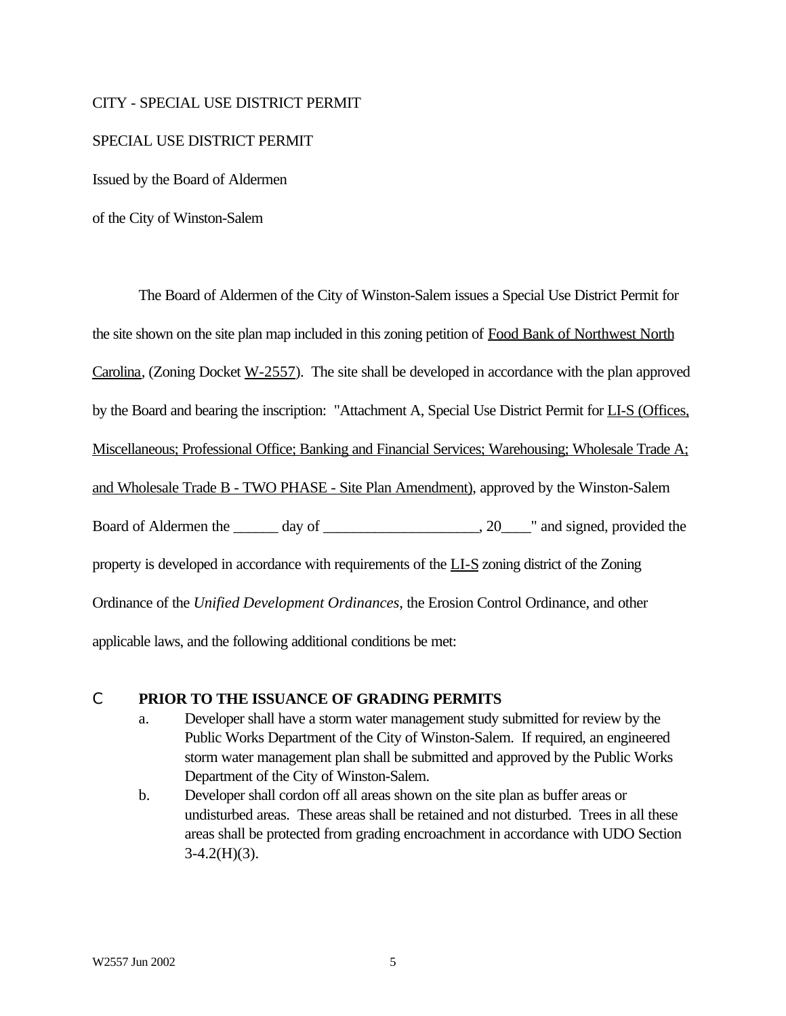#### CITY - SPECIAL USE DISTRICT PERMIT

#### SPECIAL USE DISTRICT PERMIT

Issued by the Board of Aldermen

of the City of Winston-Salem

The Board of Aldermen of the City of Winston-Salem issues a Special Use District Permit for the site shown on the site plan map included in this zoning petition of Food Bank of Northwest North Carolina, (Zoning Docket W-2557). The site shall be developed in accordance with the plan approved by the Board and bearing the inscription: "Attachment A, Special Use District Permit for LI-S (Offices, Miscellaneous; Professional Office; Banking and Financial Services; Warehousing; Wholesale Trade A; and Wholesale Trade B - TWO PHASE - Site Plan Amendment), approved by the Winston-Salem Board of Aldermen the \_\_\_\_\_\_ day of \_\_\_\_\_\_\_\_\_\_\_\_\_\_\_\_\_\_\_\_, 20\_\_\_\_" and signed, provided the property is developed in accordance with requirements of the LI-S zoning district of the Zoning Ordinance of the *Unified Development Ordinances*, the Erosion Control Ordinance, and other applicable laws, and the following additional conditions be met:

#### C **PRIOR TO THE ISSUANCE OF GRADING PERMITS**

- a. Developer shall have a storm water management study submitted for review by the Public Works Department of the City of Winston-Salem. If required, an engineered storm water management plan shall be submitted and approved by the Public Works Department of the City of Winston-Salem.
- b. Developer shall cordon off all areas shown on the site plan as buffer areas or undisturbed areas. These areas shall be retained and not disturbed. Trees in all these areas shall be protected from grading encroachment in accordance with UDO Section  $3-4.2(H)(3)$ .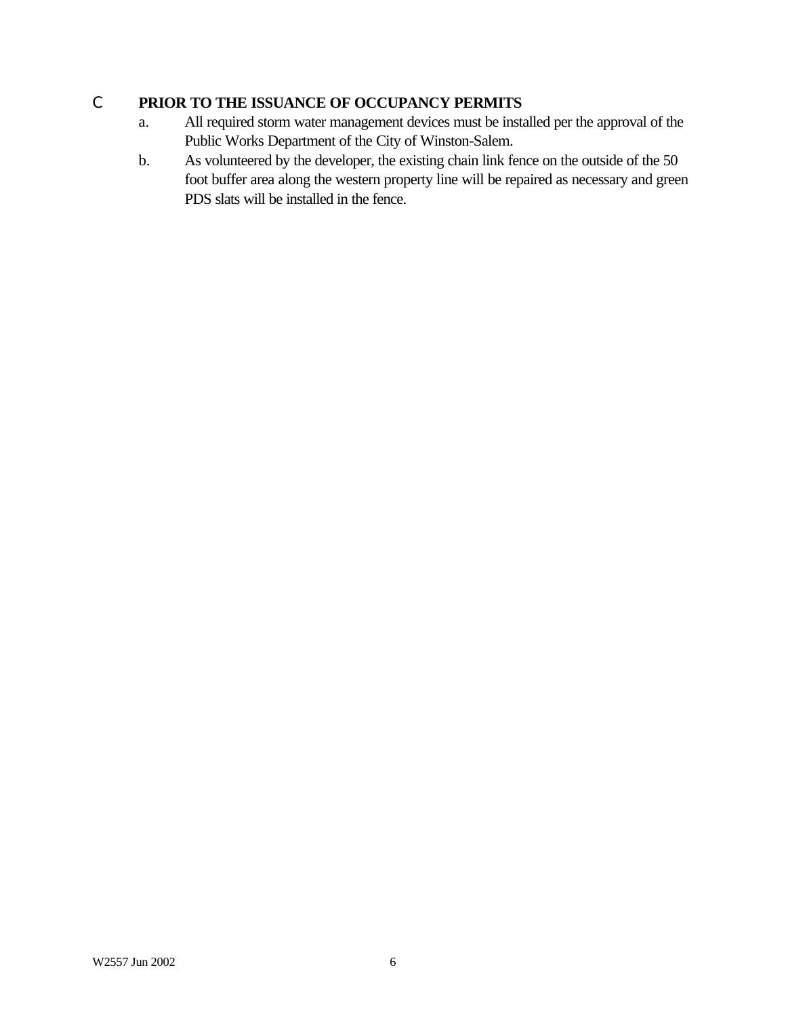# C **PRIOR TO THE ISSUANCE OF OCCUPANCY PERMITS**

- a. All required storm water management devices must be installed per the approval of the Public Works Department of the City of Winston-Salem.
- b. As volunteered by the developer, the existing chain link fence on the outside of the 50 foot buffer area along the western property line will be repaired as necessary and green PDS slats will be installed in the fence.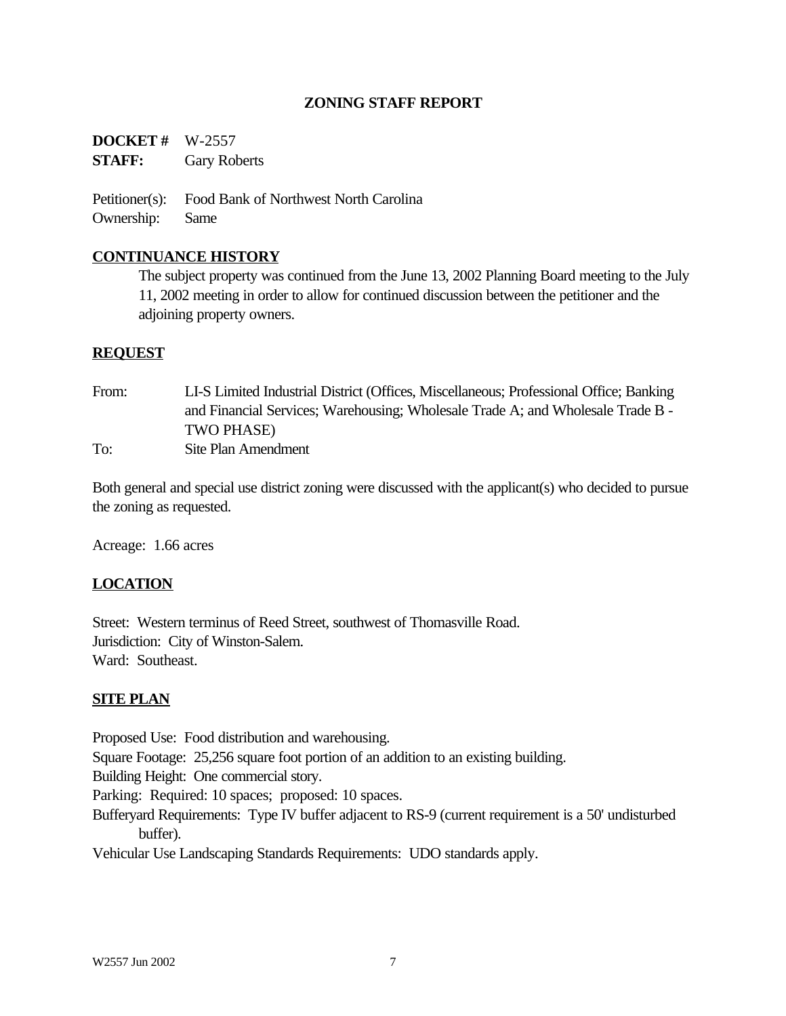### **ZONING STAFF REPORT**

**DOCKET #** W-2557 **STAFF:** Gary Roberts

Petitioner(s): Food Bank of Northwest North Carolina Ownership: Same

#### **CONTINUANCE HISTORY**

The subject property was continued from the June 13, 2002 Planning Board meeting to the July 11, 2002 meeting in order to allow for continued discussion between the petitioner and the adjoining property owners.

#### **REQUEST**

From: LI-S Limited Industrial District (Offices, Miscellaneous; Professional Office; Banking and Financial Services; Warehousing; Wholesale Trade A; and Wholesale Trade B - TWO PHASE) To: Site Plan Amendment

Both general and special use district zoning were discussed with the applicant(s) who decided to pursue the zoning as requested.

Acreage: 1.66 acres

#### **LOCATION**

Street: Western terminus of Reed Street, southwest of Thomasville Road. Jurisdiction: City of Winston-Salem. Ward: Southeast.

#### **SITE PLAN**

Proposed Use: Food distribution and warehousing.

Square Footage: 25,256 square foot portion of an addition to an existing building.

Building Height: One commercial story.

Parking: Required: 10 spaces; proposed: 10 spaces.

Bufferyard Requirements: Type IV buffer adjacent to RS-9 (current requirement is a 50' undisturbed buffer).

Vehicular Use Landscaping Standards Requirements: UDO standards apply.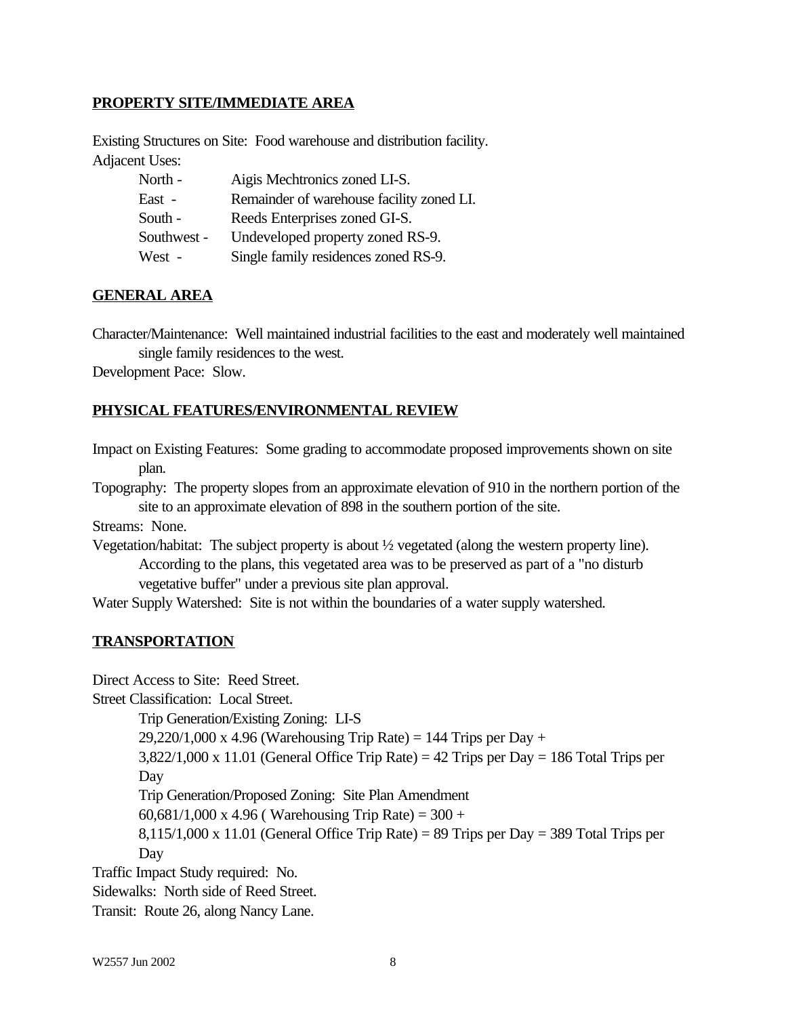#### **PROPERTY SITE/IMMEDIATE AREA**

Existing Structures on Site: Food warehouse and distribution facility. Adjacent Uses:

| North -     | Aigis Mechtronics zoned LI-S.             |
|-------------|-------------------------------------------|
| East -      | Remainder of warehouse facility zoned LI. |
| South -     | Reeds Enterprises zoned GI-S.             |
| Southwest - | Undeveloped property zoned RS-9.          |
| West -      | Single family residences zoned RS-9.      |

#### **GENERAL AREA**

Character/Maintenance: Well maintained industrial facilities to the east and moderately well maintained single family residences to the west.

Development Pace: Slow.

#### **PHYSICAL FEATURES/ENVIRONMENTAL REVIEW**

Impact on Existing Features: Some grading to accommodate proposed improvements shown on site plan.

Topography: The property slopes from an approximate elevation of 910 in the northern portion of the site to an approximate elevation of 898 in the southern portion of the site.

Streams: None.

Vegetation/habitat: The subject property is about ½ vegetated (along the western property line). According to the plans, this vegetated area was to be preserved as part of a "no disturb vegetative buffer" under a previous site plan approval.

Water Supply Watershed: Site is not within the boundaries of a water supply watershed.

#### **TRANSPORTATION**

Direct Access to Site: Reed Street.

Street Classification: Local Street.

Trip Generation/Existing Zoning: LI-S

 $29,220/1,000 \text{ x } 4.96$  (Warehousing Trip Rate) = 144 Trips per Day +

 $3,822/1,000 \times 11.01$  (General Office Trip Rate) = 42 Trips per Day = 186 Total Trips per Day

Trip Generation/Proposed Zoning: Site Plan Amendment

60,681/1,000 x 4.96 ( Warehousing Trip Rate) =  $300 +$ 

 $8,115/1,000 \times 11.01$  (General Office Trip Rate) = 89 Trips per Day = 389 Total Trips per Day

Traffic Impact Study required: No.

Sidewalks: North side of Reed Street.

Transit: Route 26, along Nancy Lane.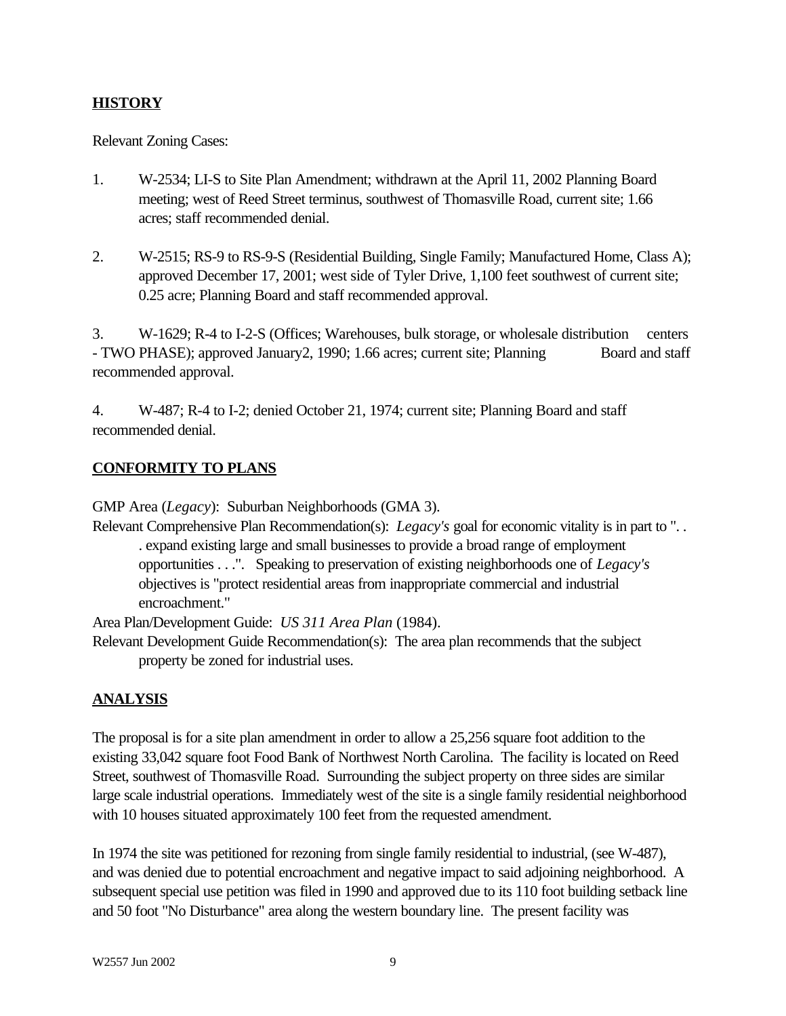# **HISTORY**

Relevant Zoning Cases:

- 1. W-2534; LI-S to Site Plan Amendment; withdrawn at the April 11, 2002 Planning Board meeting; west of Reed Street terminus, southwest of Thomasville Road, current site; 1.66 acres; staff recommended denial.
- 2. W-2515; RS-9 to RS-9-S (Residential Building, Single Family; Manufactured Home, Class A); approved December 17, 2001; west side of Tyler Drive, 1,100 feet southwest of current site; 0.25 acre; Planning Board and staff recommended approval.

3. W-1629; R-4 to I-2-S (Offices; Warehouses, bulk storage, or wholesale distribution centers - TWO PHASE); approved January2, 1990; 1.66 acres; current site; Planning Board and staff recommended approval.

4. W-487; R-4 to I-2; denied October 21, 1974; current site; Planning Board and staff recommended denial.

# **CONFORMITY TO PLANS**

GMP Area (*Legacy*): Suburban Neighborhoods (GMA 3).

Relevant Comprehensive Plan Recommendation(s): *Legacy's* goal for economic vitality is in part to ". . . expand existing large and small businesses to provide a broad range of employment opportunities . . .". Speaking to preservation of existing neighborhoods one of *Legacy's* objectives is "protect residential areas from inappropriate commercial and industrial encroachment."

Area Plan/Development Guide: *US 311 Area Plan* (1984).

Relevant Development Guide Recommendation(s): The area plan recommends that the subject property be zoned for industrial uses.

# **ANALYSIS**

The proposal is for a site plan amendment in order to allow a 25,256 square foot addition to the existing 33,042 square foot Food Bank of Northwest North Carolina. The facility is located on Reed Street, southwest of Thomasville Road. Surrounding the subject property on three sides are similar large scale industrial operations. Immediately west of the site is a single family residential neighborhood with 10 houses situated approximately 100 feet from the requested amendment.

In 1974 the site was petitioned for rezoning from single family residential to industrial, (see W-487), and was denied due to potential encroachment and negative impact to said adjoining neighborhood. A subsequent special use petition was filed in 1990 and approved due to its 110 foot building setback line and 50 foot "No Disturbance" area along the western boundary line. The present facility was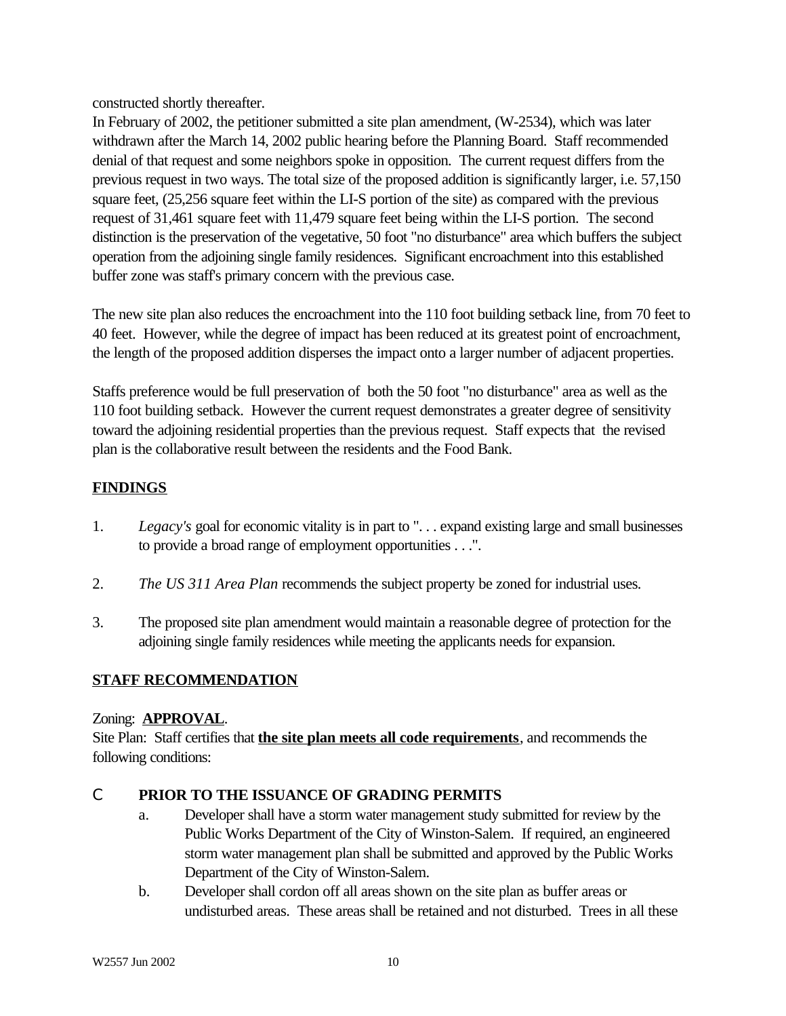constructed shortly thereafter.

In February of 2002, the petitioner submitted a site plan amendment, (W-2534), which was later withdrawn after the March 14, 2002 public hearing before the Planning Board. Staff recommended denial of that request and some neighbors spoke in opposition. The current request differs from the previous request in two ways. The total size of the proposed addition is significantly larger, i.e. 57,150 square feet, (25,256 square feet within the LI-S portion of the site) as compared with the previous request of 31,461 square feet with 11,479 square feet being within the LI-S portion. The second distinction is the preservation of the vegetative, 50 foot "no disturbance" area which buffers the subject operation from the adjoining single family residences. Significant encroachment into this established buffer zone was staff's primary concern with the previous case.

The new site plan also reduces the encroachment into the 110 foot building setback line, from 70 feet to 40 feet. However, while the degree of impact has been reduced at its greatest point of encroachment, the length of the proposed addition disperses the impact onto a larger number of adjacent properties.

Staffs preference would be full preservation of both the 50 foot "no disturbance" area as well as the 110 foot building setback. However the current request demonstrates a greater degree of sensitivity toward the adjoining residential properties than the previous request. Staff expects that the revised plan is the collaborative result between the residents and the Food Bank.

# **FINDINGS**

- 1. *Legacy's* goal for economic vitality is in part to ". . . expand existing large and small businesses to provide a broad range of employment opportunities . . .".
- 2. *The US 311 Area Plan* recommends the subject property be zoned for industrial uses.
- 3. The proposed site plan amendment would maintain a reasonable degree of protection for the adjoining single family residences while meeting the applicants needs for expansion.

# **STAFF RECOMMENDATION**

#### Zoning: **APPROVAL**.

Site Plan: Staff certifies that **the site plan meets all code requirements**, and recommends the following conditions:

# C **PRIOR TO THE ISSUANCE OF GRADING PERMITS**

- a. Developer shall have a storm water management study submitted for review by the Public Works Department of the City of Winston-Salem. If required, an engineered storm water management plan shall be submitted and approved by the Public Works Department of the City of Winston-Salem.
- b. Developer shall cordon off all areas shown on the site plan as buffer areas or undisturbed areas. These areas shall be retained and not disturbed. Trees in all these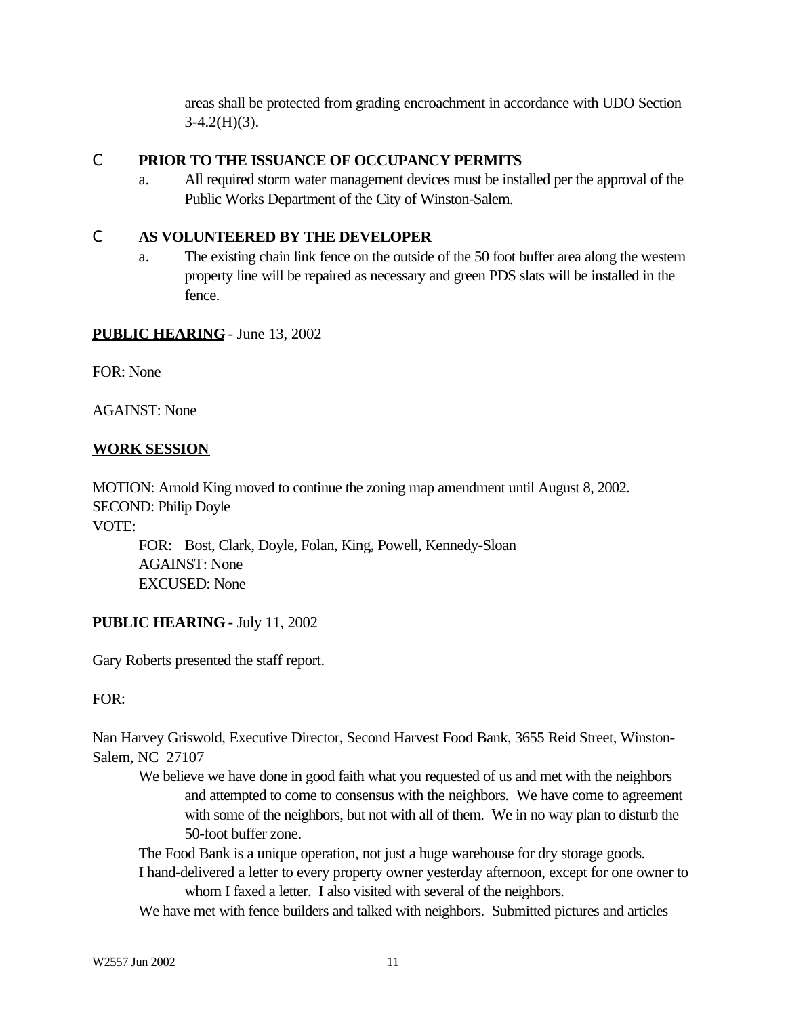areas shall be protected from grading encroachment in accordance with UDO Section  $3-4.2(H)(3)$ .

### C **PRIOR TO THE ISSUANCE OF OCCUPANCY PERMITS**

a. All required storm water management devices must be installed per the approval of the Public Works Department of the City of Winston-Salem.

# C **AS VOLUNTEERED BY THE DEVELOPER**

a. The existing chain link fence on the outside of the 50 foot buffer area along the western property line will be repaired as necessary and green PDS slats will be installed in the fence.

# **PUBLIC HEARING** - June 13, 2002

FOR: None

AGAINST: None

### **WORK SESSION**

MOTION: Arnold King moved to continue the zoning map amendment until August 8, 2002. SECOND: Philip Doyle

VOTE:

FOR: Bost, Clark, Doyle, Folan, King, Powell, Kennedy-Sloan AGAINST: None EXCUSED: None

# **PUBLIC HEARING** - July 11, 2002

Gary Roberts presented the staff report.

#### FOR:

Nan Harvey Griswold, Executive Director, Second Harvest Food Bank, 3655 Reid Street, Winston-Salem, NC 27107

We believe we have done in good faith what you requested of us and met with the neighbors and attempted to come to consensus with the neighbors. We have come to agreement with some of the neighbors, but not with all of them. We in no way plan to disturb the 50-foot buffer zone.

The Food Bank is a unique operation, not just a huge warehouse for dry storage goods.

I hand-delivered a letter to every property owner yesterday afternoon, except for one owner to whom I faxed a letter. I also visited with several of the neighbors.

We have met with fence builders and talked with neighbors. Submitted pictures and articles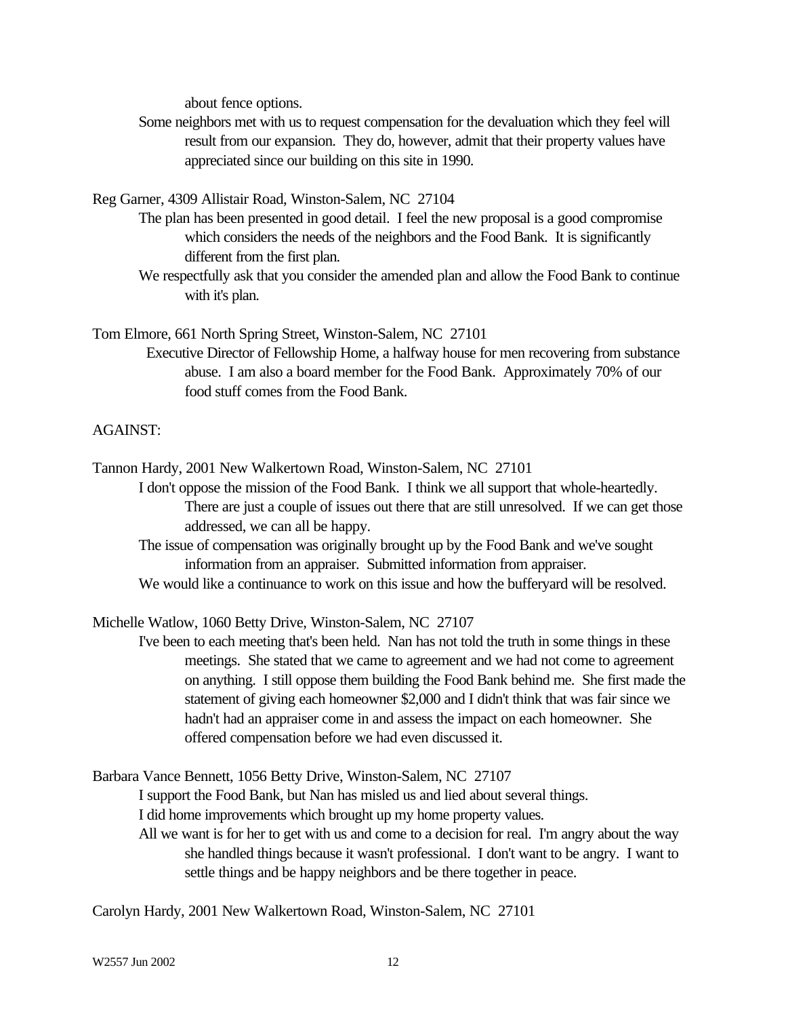about fence options.

Some neighbors met with us to request compensation for the devaluation which they feel will result from our expansion. They do, however, admit that their property values have appreciated since our building on this site in 1990.

Reg Garner, 4309 Allistair Road, Winston-Salem, NC 27104

- The plan has been presented in good detail. I feel the new proposal is a good compromise which considers the needs of the neighbors and the Food Bank. It is significantly different from the first plan.
	- We respectfully ask that you consider the amended plan and allow the Food Bank to continue with it's plan.

Tom Elmore, 661 North Spring Street, Winston-Salem, NC 27101

 Executive Director of Fellowship Home, a halfway house for men recovering from substance abuse. I am also a board member for the Food Bank. Approximately 70% of our food stuff comes from the Food Bank.

# AGAINST:

Tannon Hardy, 2001 New Walkertown Road, Winston-Salem, NC 27101

I don't oppose the mission of the Food Bank. I think we all support that whole-heartedly. There are just a couple of issues out there that are still unresolved. If we can get those addressed, we can all be happy.

The issue of compensation was originally brought up by the Food Bank and we've sought information from an appraiser. Submitted information from appraiser.

We would like a continuance to work on this issue and how the bufferyard will be resolved.

Michelle Watlow, 1060 Betty Drive, Winston-Salem, NC 27107

I've been to each meeting that's been held. Nan has not told the truth in some things in these meetings. She stated that we came to agreement and we had not come to agreement on anything. I still oppose them building the Food Bank behind me. She first made the statement of giving each homeowner \$2,000 and I didn't think that was fair since we hadn't had an appraiser come in and assess the impact on each homeowner. She offered compensation before we had even discussed it.

Barbara Vance Bennett, 1056 Betty Drive, Winston-Salem, NC 27107

I support the Food Bank, but Nan has misled us and lied about several things.

I did home improvements which brought up my home property values.

All we want is for her to get with us and come to a decision for real. I'm angry about the way she handled things because it wasn't professional. I don't want to be angry. I want to settle things and be happy neighbors and be there together in peace.

Carolyn Hardy, 2001 New Walkertown Road, Winston-Salem, NC 27101